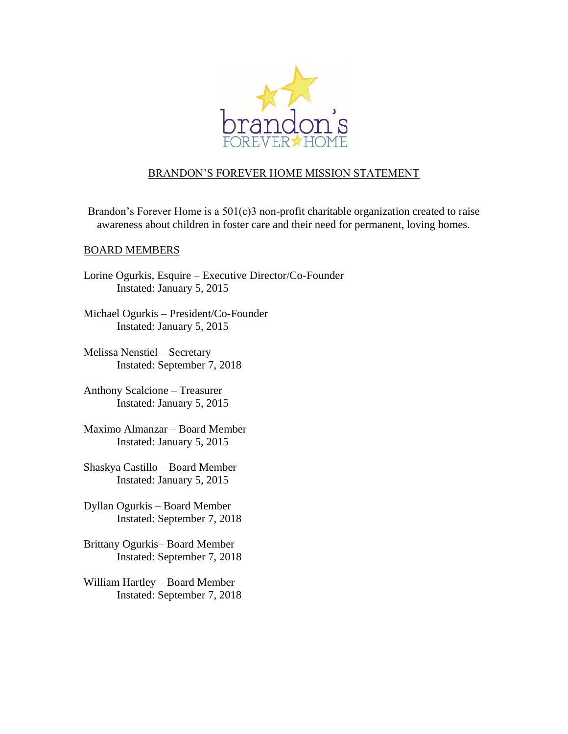

# BRANDON'S FOREVER HOME MISSION STATEMENT

Brandon's Forever Home is a  $501(c)3$  non-profit charitable organization created to raise awareness about children in foster care and their need for permanent, loving homes.

### BOARD MEMBERS

Lorine Ogurkis, Esquire – Executive Director/Co-Founder Instated: January 5, 2015

Michael Ogurkis – President/Co-Founder Instated: January 5, 2015

Melissa Nenstiel – Secretary Instated: September 7, 2018

Anthony Scalcione – Treasurer Instated: January 5, 2015

Maximo Almanzar – Board Member Instated: January 5, 2015

Shaskya Castillo – Board Member Instated: January 5, 2015

Dyllan Ogurkis – Board Member Instated: September 7, 2018

Brittany Ogurkis– Board Member Instated: September 7, 2018

William Hartley – Board Member Instated: September 7, 2018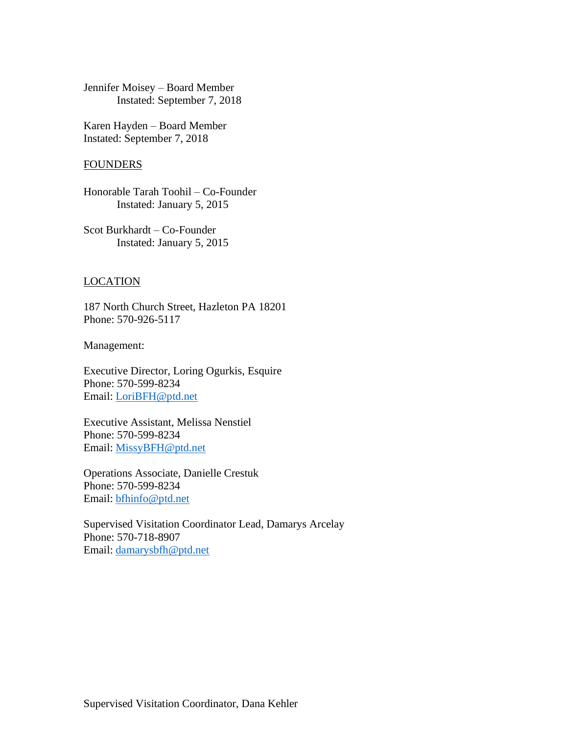Jennifer Moisey – Board Member Instated: September 7, 2018

Karen Hayden – Board Member Instated: September 7, 2018

#### **FOUNDERS**

Honorable Tarah Toohil – Co-Founder Instated: January 5, 2015

Scot Burkhardt – Co-Founder Instated: January 5, 2015

#### LOCATION

187 North Church Street, Hazleton PA 18201 Phone: 570-926-5117

Management:

Executive Director, Loring Ogurkis, Esquire Phone: 570-599-8234 Email: [LoriBFH@ptd.net](mailto:LoriBFH@ptd.net)

Executive Assistant, Melissa Nenstiel Phone: 570-599-8234 Email: [MissyBFH@ptd.net](mailto:MissyBFH@ptd.net)

Operations Associate, Danielle Crestuk Phone: 570-599-8234 Email: [bfhinfo@ptd.net](mailto:bfhinfo@ptd.net)

Supervised Visitation Coordinator Lead, Damarys Arcelay Phone: 570-718-8907 Email: [damarysbfh@ptd.net](mailto:damarysbfh@ptd.net)